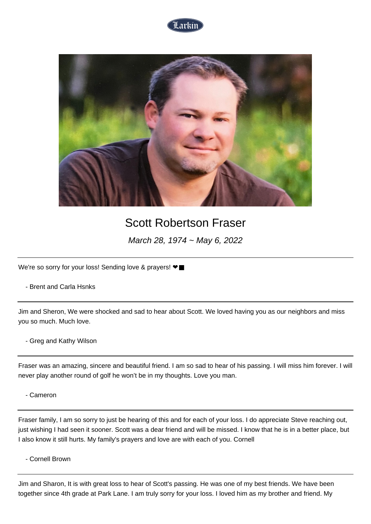



## Scott Robertson Fraser

March 28, 1974 ~ May 6, 2022

We're so sorry for your loss! Sending love & prayers! <sup>●■</sup>

- Brent and Carla Hsnks

Jim and Sheron, We were shocked and sad to hear about Scott. We loved having you as our neighbors and miss you so much. Much love.

- Greg and Kathy Wilson

Fraser was an amazing, sincere and beautiful friend. I am so sad to hear of his passing. I will miss him forever. I will never play another round of golf he won't be in my thoughts. Love you man.

- Cameron

Fraser family, I am so sorry to just be hearing of this and for each of your loss. I do appreciate Steve reaching out, just wishing I had seen it sooner. Scott was a dear friend and will be missed. I know that he is in a better place, but I also know it still hurts. My family's prayers and love are with each of you. Cornell

- Cornell Brown

Jim and Sharon, It is with great loss to hear of Scott's passing. He was one of my best friends. We have been together since 4th grade at Park Lane. I am truly sorry for your loss. I loved him as my brother and friend. My